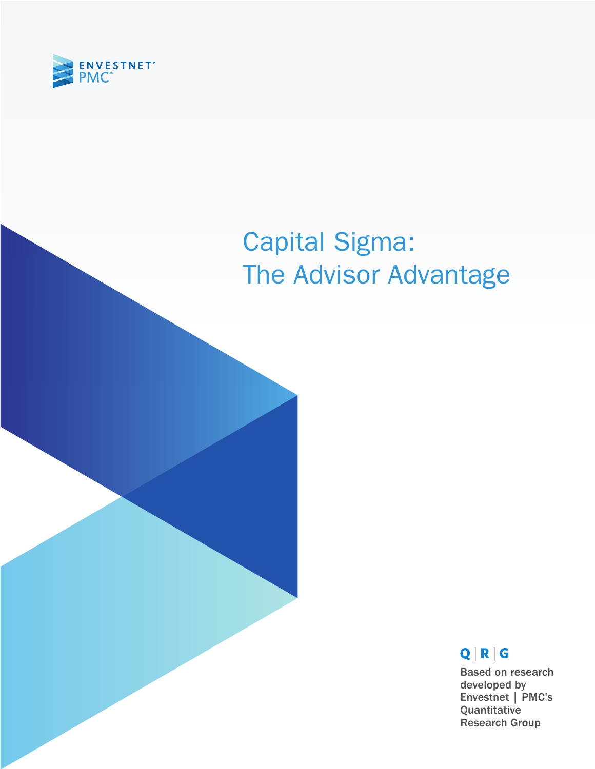

# Capital Sigma: The Advisor Advantage

# $Q | R | G$

Based on research developed by Envestnet | PMC's Quantitative Research Group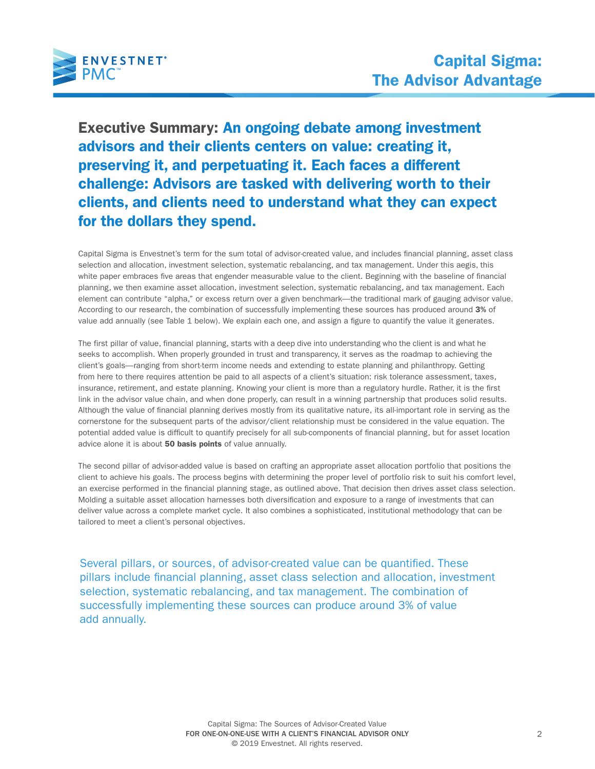

Executive Summary: An ongoing debate among investment advisors and their clients centers on value: creating it, preserving it, and perpetuating it. Each faces a different challenge: Advisors are tasked with delivering worth to their clients, and clients need to understand what they can expect for the dollars they spend.

Capital Sigma is Envestnet's term for the sum total of advisor-created value, and includes financial planning, asset class selection and allocation, investment selection, systematic rebalancing, and tax management. Under this aegis, this white paper embraces five areas that engender measurable value to the client. Beginning with the baseline of financial planning, we then examine asset allocation, investment selection, systematic rebalancing, and tax management. Each element can contribute "alpha," or excess return over a given benchmark—the traditional mark of gauging advisor value. According to our research, the combination of successfully implementing these sources has produced around 3% of value add annually (see Table 1 below). We explain each one, and assign a figure to quantify the value it generates.

The first pillar of value, financial planning, starts with a deep dive into understanding who the client is and what he seeks to accomplish. When properly grounded in trust and transparency, it serves as the roadmap to achieving the client's goals—ranging from short-term income needs and extending to estate planning and philanthropy. Getting from here to there requires attention be paid to all aspects of a client's situation: risk tolerance assessment, taxes, insurance, retirement, and estate planning. Knowing your client is more than a regulatory hurdle. Rather, it is the first link in the advisor value chain, and when done properly, can result in a winning partnership that produces solid results. Although the value of financial planning derives mostly from its qualitative nature, its all-important role in serving as the cornerstone for the subsequent parts of the advisor/client relationship must be considered in the value equation. The potential added value is difficult to quantify precisely for all sub-components of financial planning, but for asset location advice alone it is about 50 basis points of value annually.

The second pillar of advisor-added value is based on crafting an appropriate asset allocation portfolio that positions the client to achieve his goals. The process begins with determining the proper level of portfolio risk to suit his comfort level, an exercise performed in the financial planning stage, as outlined above. That decision then drives asset class selection. Molding a suitable asset allocation harnesses both diversification and exposure to a range of investments that can deliver value across a complete market cycle. It also combines a sophisticated, institutional methodology that can be tailored to meet a client's personal objectives.

Several pillars, or sources, of advisor-created value can be quantified. These pillars include financial planning, asset class selection and allocation, investment selection, systematic rebalancing, and tax management. The combination of successfully implementing these sources can produce around 3% of value add annually.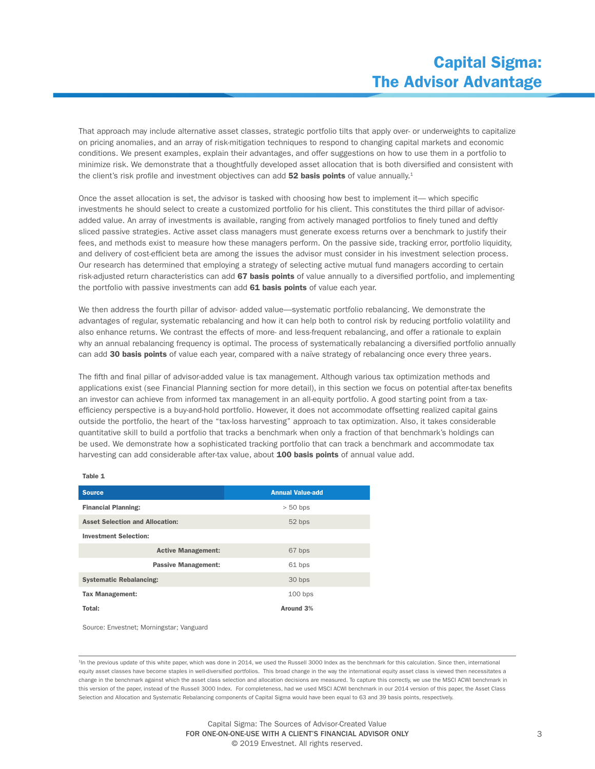That approach may include alternative asset classes, strategic portfolio tilts that apply over- or underweights to capitalize on pricing anomalies, and an array of risk-mitigation techniques to respond to changing capital markets and economic conditions. We present examples, explain their advantages, and offer suggestions on how to use them in a portfolio to minimize risk. We demonstrate that a thoughtfully developed asset allocation that is both diversified and consistent with the client's risk profile and investment objectives can add 52 basis points of value annually.<sup>1</sup>

Once the asset allocation is set, the advisor is tasked with choosing how best to implement it— which specific investments he should select to create a customized portfolio for his client. This constitutes the third pillar of advisoradded value. An array of investments is available, ranging from actively managed portfolios to finely tuned and deftly sliced passive strategies. Active asset class managers must generate excess returns over a benchmark to justify their fees, and methods exist to measure how these managers perform. On the passive side, tracking error, portfolio liquidity, and delivery of cost-efficient beta are among the issues the advisor must consider in his investment selection process. Our research has determined that employing a strategy of selecting active mutual fund managers according to certain risk-adjusted return characteristics can add 67 basis points of value annually to a diversified portfolio, and implementing the portfolio with passive investments can add 61 basis points of value each year.

We then address the fourth pillar of advisor- added value—systematic portfolio rebalancing. We demonstrate the advantages of regular, systematic rebalancing and how it can help both to control risk by reducing portfolio volatility and also enhance returns. We contrast the effects of more- and less-frequent rebalancing, and offer a rationale to explain why an annual rebalancing frequency is optimal. The process of systematically rebalancing a diversified portfolio annually can add 30 basis points of value each year, compared with a naïve strategy of rebalancing once every three years.

The fifth and final pillar of advisor-added value is tax management. Although various tax optimization methods and applications exist (see Financial Planning section for more detail), in this section we focus on potential after-tax benefits an investor can achieve from informed tax management in an all-equity portfolio. A good starting point from a taxefficiency perspective is a buy-and-hold portfolio. However, it does not accommodate offsetting realized capital gains outside the portfolio, the heart of the "tax-loss harvesting" approach to tax optimization. Also, it takes considerable quantitative skill to build a portfolio that tracks a benchmark when only a fraction of that benchmark's holdings can be used. We demonstrate how a sophisticated tracking portfolio that can track a benchmark and accommodate tax harvesting can add considerable after-tax value, about 100 basis points of annual value add.

| <b>Source</b>                          | <b>Annual Value-add</b> |  |  |
|----------------------------------------|-------------------------|--|--|
| <b>Financial Planning:</b>             | $> 50$ bps              |  |  |
| <b>Asset Selection and Allocation:</b> | 52 bps                  |  |  |
| <b>Investment Selection:</b>           |                         |  |  |
| <b>Active Management:</b>              | 67 bps                  |  |  |
| <b>Passive Management:</b>             | 61 bps                  |  |  |
| <b>Systematic Rebalancing:</b>         | 30 bps                  |  |  |
| <b>Tax Management:</b>                 | $100$ bps               |  |  |
| Total:                                 | Around 3%               |  |  |

Source: Envestnet; Morningstar; Vanguard

Table 1

<sup>1</sup>In the previous update of this white paper, which was done in 2014, we used the Russell 3000 Index as the benchmark for this calculation. Since then, international equity asset classes have become staples in well-diversified portfolios. This broad change in the way the international equity asset class is viewed then necessitates a change in the benchmark against which the asset class selection and allocation decisions are measured. To capture this correctly, we use the MSCI ACWI benchmark in this version of the paper, instead of the Russell 3000 Index. For completeness, had we used MSCI ACWI benchmark in our 2014 version of this paper, the Asset Class Selection and Allocation and Systematic Rebalancing components of Capital Sigma would have been equal to 63 and 39 basis points, respectively.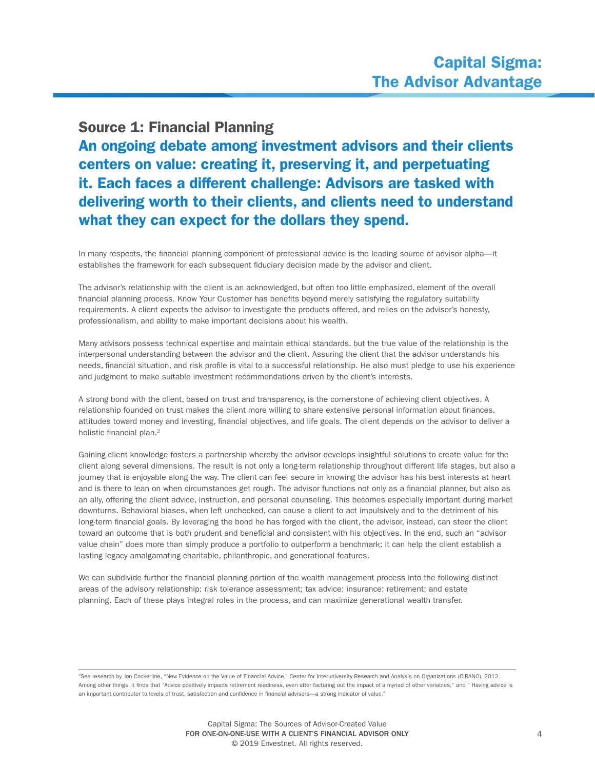## Source 1: Financial Planning

An ongoing debate among investment advisors and their clients centers on value: creating it, preserving it, and perpetuating it. Each faces a different challenge: Advisors are tasked with delivering worth to their clients, and clients need to understand what they can expect for the dollars they spend.

In many respects, the financial planning component of professional advice is the leading source of advisor alpha—it establishes the framework for each subsequent fiduciary decision made by the advisor and client.

The advisor's relationship with the client is an acknowledged, but often too little emphasized, element of the overall financial planning process. Know Your Customer has benefits beyond merely satisfying the regulatory suitability requirements. A client expects the advisor to investigate the products offered, and relies on the advisor's honesty, professionalism, and ability to make important decisions about his wealth.

Many advisors possess technical expertise and maintain ethical standards, but the true value of the relationship is the interpersonal understanding between the advisor and the client. Assuring the client that the advisor understands his needs, financial situation, and risk profile is vital to a successful relationship. He also must pledge to use his experience and judgment to make suitable investment recommendations driven by the client's interests.

A strong bond with the client, based on trust and transparency, is the cornerstone of achieving client objectives. A relationship founded on trust makes the client more willing to share extensive personal information about finances, attitudes toward money and investing, financial objectives, and life goals. The client depends on the advisor to deliver a holistic financial plan.<sup>2</sup>

Gaining client knowledge fosters a partnership whereby the advisor develops insightful solutions to create value for the client along several dimensions. The result is not only a long-term relationship throughout different life stages, but also a journey that is enjoyable along the way. The client can feel secure in knowing the advisor has his best interests at heart and is there to lean on when circumstances get rough. The advisor functions not only as a financial planner, but also as an ally, offering the client advice, instruction, and personal counseling. This becomes especially important during market downturns. Behavioral biases, when left unchecked, can cause a client to act impulsively and to the detriment of his long-term financial goals. By leveraging the bond he has forged with the client, the advisor, instead, can steer the client toward an outcome that is both prudent and beneficial and consistent with his objectives. In the end, such an "advisor value chain" does more than simply produce a portfolio to outperform a benchmark; it can help the client establish a lasting legacy amalgamating charitable, philanthropic, and generational features.

We can subdivide further the financial planning portion of the wealth management process into the following distinct areas of the advisory relationship: risk tolerance assessment; tax advice; insurance; retirement; and estate planning. Each of these plays integral roles in the process, and can maximize generational wealth transfer.

<sup>2</sup>See research by Jon Cockerline, "New Evidence on the Value of Financial Advice," Center for Interuniversity Research and Analysis on Organizations (CIRANO), 2012. Among other things, it finds that "Advice positively impacts retirement readiness, even after factoring out the impact of a myriad of other variables," and " Having advice is an important contributor to levels of trust, satisfaction and confidence in financial advisors—a strong indicator of value."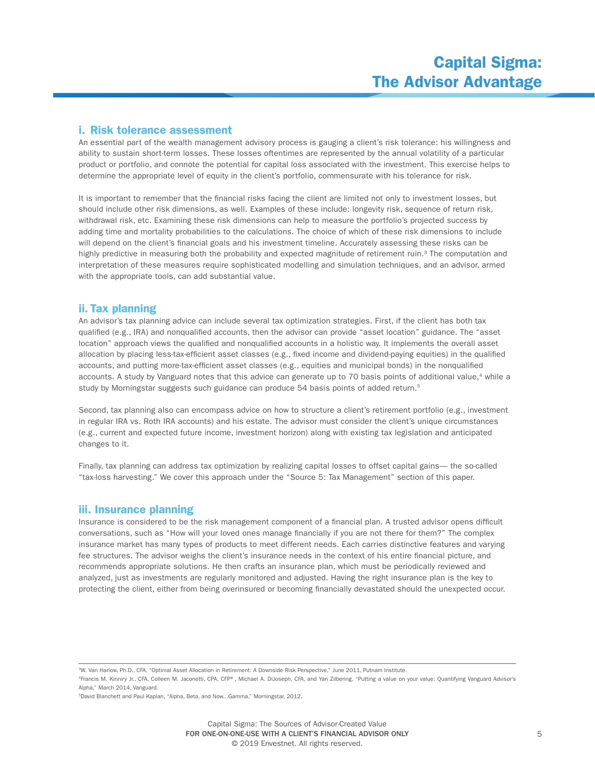### i. Risk tolerance assessment

An essential part of the wealth management advisory process is gauging a client's risk tolerance: his willingness and ability to sustain short-term losses. These losses oftentimes are represented by the annual volatility of a particular product or portfolio, and connote the potential for capital loss associated with the investment. This exercise helps to determine the appropriate level of equity in the client's portfolio, commensurate with his tolerance for risk.

It is important to remember that the financial risks facing the client are limited not only to investment losses, but should include other risk dimensions, as well. Examples of these include: longevity risk, sequence of return risk, withdrawal risk, etc. Examining these risk dimensions can help to measure the portfolio's projected success by adding time and mortality probabilities to the calculations. The choice of which of these risk dimensions to include will depend on the client's financial goals and his investment timeline. Accurately assessing these risks can be highly predictive in measuring both the probability and expected magnitude of retirement ruin.<sup>3</sup> The computation and interpretation of these measures require sophisticated modelling and simulation techniques, and an advisor, armed with the appropriate tools, can add substantial value.

## ii. Tax planning

An advisor's tax planning advice can include several tax optimization strategies. First, if the client has both tax qualified (e.g., IRA) and nonqualified accounts, then the advisor can provide "asset location" guidance. The "asset location" approach views the qualified and nonqualified accounts in a holistic way. It implements the overall asset allocation by placing less-tax-efficient asset classes (e.g., fixed income and dividend-paying equities) in the qualified accounts, and putting more-tax-efficient asset classes (e.g., equities and municipal bonds) in the nonqualified accounts. A study by Vanguard notes that this advice can generate up to 70 basis points of additional value,<sup>4</sup> while a study by Morningstar suggests such guidance can produce 54 basis points of added return.<sup>5</sup>

Second, tax planning also can encompass advice on how to structure a client's retirement portfolio (e.g., investment in regular IRA vs. Roth IRA accounts) and his estate. The advisor must consider the client's unique circumstances (e.g., current and expected future income, investment horizon) along with existing tax legislation and anticipated changes to it.

Finally, tax planning can address tax optimization by realizing capital losses to offset capital gains— the so-called "tax-loss harvesting." We cover this approach under the "Source 5: Tax Management" section of this paper.

#### iii. Insurance planning

Insurance is considered to be the risk management component of a financial plan. A trusted advisor opens difficult conversations, such as "How will your loved ones manage financially if you are not there for them?" The complex insurance market has many types of products to meet different needs. Each carries distinctive features and varying fee structures. The advisor weighs the client's insurance needs in the context of his entire financial picture, and recommends appropriate solutions. He then crafts an insurance plan, which must be periodically reviewed and analyzed, just as investments are regularly monitored and adjusted. Having the right insurance plan is the key to protecting the client, either from being overinsured or becoming financially devastated should the unexpected occur.

3W. Van Harlow, Ph.D., CFA, "Optimal Asset Allocation in Retirement: A Downside Risk Perspective," June 2011, Putnam Institute.

4Francis M. Kinniry Jr., CFA, Colleen M. Jaconetti, CPA, CFP®, Michael A. DiJoseph, CFA, and Yan Zilbering, "Putting a value on your value: Quantifying Vanguard Advisor's Alpha," March 2014, Vanguard.

<sup>5</sup>David Blanchett and Paul Kaplan, "Alpha, Beta, and Now...Gamma," Morningstar, 2012.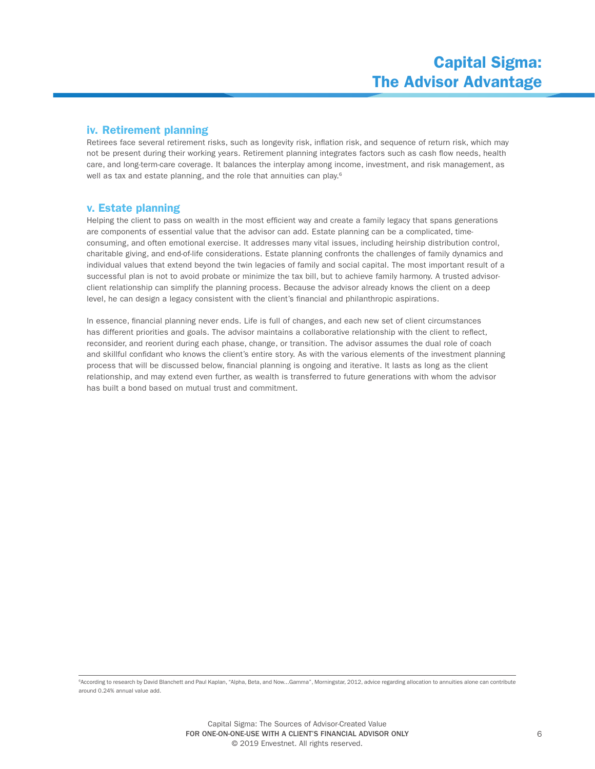## iv. Retirement planning

Retirees face several retirement risks, such as longevity risk, inflation risk, and sequence of return risk, which may not be present during their working years. Retirement planning integrates factors such as cash flow needs, health care, and long-term-care coverage. It balances the interplay among income, investment, and risk management, as well as tax and estate planning, and the role that annuities can play.<sup>6</sup>

## v. Estate planning

Helping the client to pass on wealth in the most efficient way and create a family legacy that spans generations are components of essential value that the advisor can add. Estate planning can be a complicated, timeconsuming, and often emotional exercise. It addresses many vital issues, including heirship distribution control, charitable giving, and end-of-life considerations. Estate planning confronts the challenges of family dynamics and individual values that extend beyond the twin legacies of family and social capital. The most important result of a successful plan is not to avoid probate or minimize the tax bill, but to achieve family harmony. A trusted advisorclient relationship can simplify the planning process. Because the advisor already knows the client on a deep level, he can design a legacy consistent with the client's financial and philanthropic aspirations.

In essence, financial planning never ends. Life is full of changes, and each new set of client circumstances has different priorities and goals. The advisor maintains a collaborative relationship with the client to reflect, reconsider, and reorient during each phase, change, or transition. The advisor assumes the dual role of coach and skillful confidant who knows the client's entire story. As with the various elements of the investment planning process that will be discussed below, financial planning is ongoing and iterative. It lasts as long as the client relationship, and may extend even further, as wealth is transferred to future generations with whom the advisor has built a bond based on mutual trust and commitment.

e<br>According to research by David Blanchett and Paul Kaplan, "Alpha, Beta, and Now...Gamma", Morningstar, 2012, advice regarding allocation to annuities alone can contribute around 0.24% annual value add.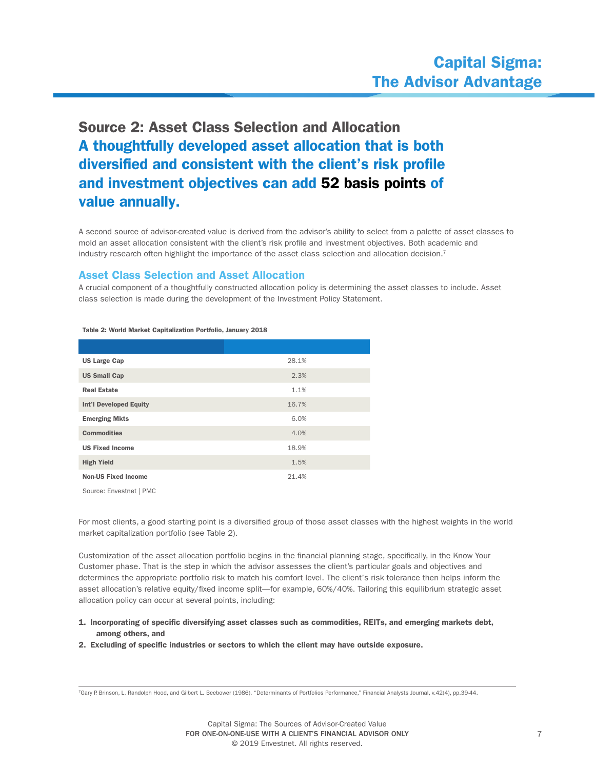# Source 2: Asset Class Selection and Allocation A thoughtfully developed asset allocation that is both diversified and consistent with the client's risk profile and investment objectives can add 52 basis points of value annually.

A second source of advisor-created value is derived from the advisor's ability to select from a palette of asset classes to mold an asset allocation consistent with the client's risk profile and investment objectives. Both academic and industry research often highlight the importance of the asset class selection and allocation decision.<sup>7</sup>

## Asset Class Selection and Asset Allocation

A crucial component of a thoughtfully constructed allocation policy is determining the asset classes to include. Asset class selection is made during the development of the Investment Policy Statement.

| <b>US Large Cap</b>           | 28.1% |
|-------------------------------|-------|
| <b>US Small Cap</b>           | 2.3%  |
| <b>Real Estate</b>            | 1.1%  |
| <b>Int'l Developed Equity</b> | 16.7% |
| <b>Emerging Mkts</b>          | 6.0%  |
| <b>Commodities</b>            | 4.0%  |
| <b>US Fixed Income</b>        | 18.9% |
| <b>High Yield</b>             | 1.5%  |
| <b>Non-US Fixed Income</b>    | 21.4% |

Table 2: World Market Capitalization Portfolio, January 2018

Source: Envestnet | PMC

For most clients, a good starting point is a diversified group of those asset classes with the highest weights in the world market capitalization portfolio (see Table 2).

Customization of the asset allocation portfolio begins in the financial planning stage, specifically, in the Know Your Customer phase. That is the step in which the advisor assesses the client's particular goals and objectives and determines the appropriate portfolio risk to match his comfort level. The client's risk tolerance then helps inform the asset allocation's relative equity/fixed income split—for example, 60%/40%. Tailoring this equilibrium strategic asset allocation policy can occur at several points, including:

#### 1. Incorporating of specific diversifying asset classes such as commodities, REITs, and emerging markets debt, among others, and

2. Excluding of specific industries or sectors to which the client may have outside exposure.

<sup>7</sup>Gary P. Brinson, L. Randolph Hood, and Gilbert L. Beebower (1986). "Determinants of Portfolios Performance," Financial Analysts Journal, v.42(4), pp.39-44.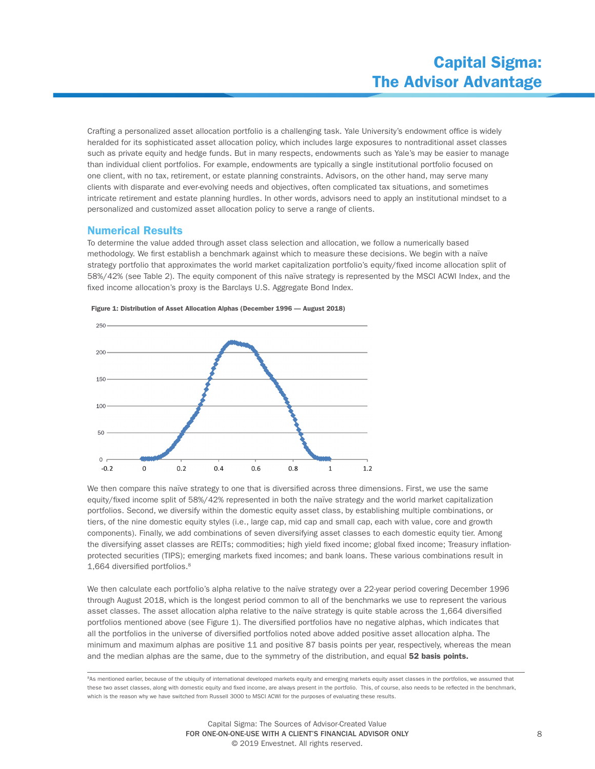Crafting a personalized asset allocation portfolio is a challenging task. Yale University's endowment office is widely heralded for its sophisticated asset allocation policy, which includes large exposures to nontraditional asset classes such as private equity and hedge funds. But in many respects, endowments such as Yale's may be easier to manage than individual client portfolios. For example, endowments are typically a single institutional portfolio focused on one client, with no tax, retirement, or estate planning constraints. Advisors, on the other hand, may serve many clients with disparate and ever-evolving needs and objectives, often complicated tax situations, and sometimes intricate retirement and estate planning hurdles. In other words, advisors need to apply an institutional mindset to a personalized and customized asset allocation policy to serve a range of clients.

#### Numerical Results

To determine the value added through asset class selection and allocation, we follow a numerically based methodology. We first establish a benchmark against which to measure these decisions. We begin with a naïve strategy portfolio that approximates the world market capitalization portfolio's equity/fixed income allocation split of 58%/42% (see Table 2). The equity component of this naïve strategy is represented by the MSCI ACWI Index, and the fixed income allocation's proxy is the Barclays U.S. Aggregate Bond Index.





We then compare this naïve strategy to one that is diversified across three dimensions. First, we use the same equity/fixed income split of 58%/42% represented in both the naïve strategy and the world market capitalization portfolios. Second, we diversify within the domestic equity asset class, by establishing multiple combinations, or tiers, of the nine domestic equity styles (i.e., large cap, mid cap and small cap, each with value, core and growth components). Finally, we add combinations of seven diversifying asset classes to each domestic equity tier. Among the diversifying asset classes are REITs; commodities; high yield fixed income; global fixed income; Treasury inflationprotected securities (TIPS); emerging markets fixed incomes; and bank loans. These various combinations result in 1,664 diversified portfolios.8

We then calculate each portfolio's alpha relative to the naïve strategy over a 22-year period covering December 1996 through August 2018, which is the longest period common to all of the benchmarks we use to represent the various asset classes. The asset allocation alpha relative to the naïve strategy is quite stable across the 1,664 diversified portfolios mentioned above (see Figure 1). The diversified portfolios have no negative alphas, which indicates that all the portfolios in the universe of diversified portfolios noted above added positive asset allocation alpha. The minimum and maximum alphas are positive 11 and positive 87 basis points per year, respectively, whereas the mean and the median alphas are the same, due to the symmetry of the distribution, and equal 52 basis points.

<sup>8</sup>As mentioned earlier, because of the ubiquity of international developed markets equity and emerging markets equity asset classes in the portfolios, we assumed that these two asset classes, along with domestic equity and fixed income, are always present in the portfolio. This, of course, also needs to be reflected in the benchmark, which is the reason why we have switched from Russell 3000 to MSCI ACWI for the purposes of evaluating these results.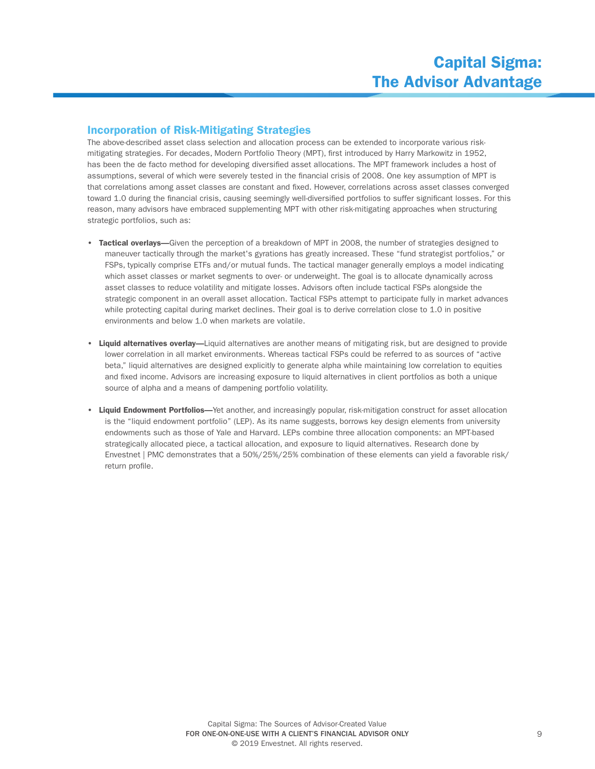## Incorporation of Risk-Mitigating Strategies

The above-described asset class selection and allocation process can be extended to incorporate various riskmitigating strategies. For decades, Modern Portfolio Theory (MPT), first introduced by Harry Markowitz in 1952, has been the de facto method for developing diversified asset allocations. The MPT framework includes a host of assumptions, several of which were severely tested in the financial crisis of 2008. One key assumption of MPT is that correlations among asset classes are constant and fixed. However, correlations across asset classes converged toward 1.0 during the financial crisis, causing seemingly well-diversified portfolios to suffer significant losses. For this reason, many advisors have embraced supplementing MPT with other risk-mitigating approaches when structuring strategic portfolios, such as:

- Tactical overlays—Given the perception of a breakdown of MPT in 2008, the number of strategies designed to maneuver tactically through the market's gyrations has greatly increased. These "fund strategist portfolios," or FSPs, typically comprise ETFs and/or mutual funds. The tactical manager generally employs a model indicating which asset classes or market segments to over- or underweight. The goal is to allocate dynamically across asset classes to reduce volatility and mitigate losses. Advisors often include tactical FSPs alongside the strategic component in an overall asset allocation. Tactical FSPs attempt to participate fully in market advances while protecting capital during market declines. Their goal is to derive correlation close to 1.0 in positive environments and below 1.0 when markets are volatile.
- Liquid alternatives overlay—Liquid alternatives are another means of mitigating risk, but are designed to provide lower correlation in all market environments. Whereas tactical FSPs could be referred to as sources of "active beta," liquid alternatives are designed explicitly to generate alpha while maintaining low correlation to equities and fixed income. Advisors are increasing exposure to liquid alternatives in client portfolios as both a unique source of alpha and a means of dampening portfolio volatility.
- Liquid Endowment Portfolios—Yet another, and increasingly popular, risk-mitigation construct for asset allocation is the "liquid endowment portfolio" (LEP). As its name suggests, borrows key design elements from university endowments such as those of Yale and Harvard. LEPs combine three allocation components: an MPT-based strategically allocated piece, a tactical allocation, and exposure to liquid alternatives. Research done by Envestnet | PMC demonstrates that a 50%/25%/25% combination of these elements can yield a favorable risk/ return profile.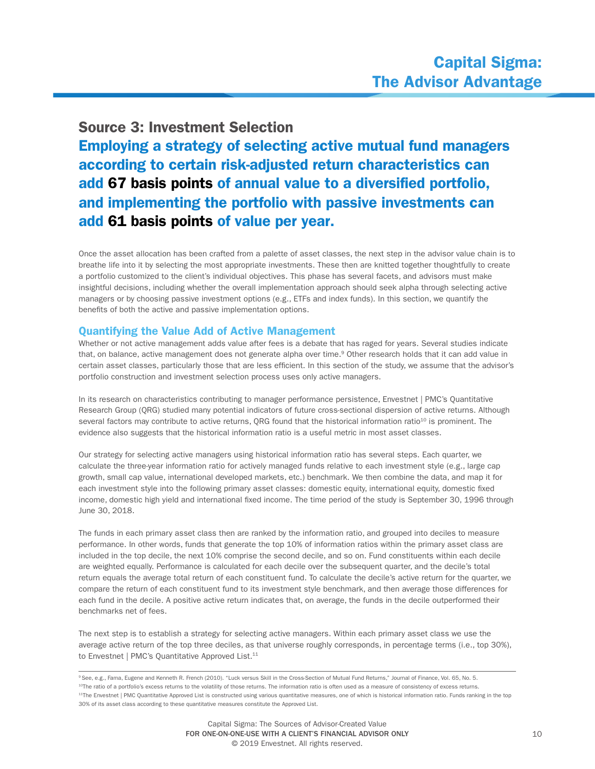## Source 3: Investment Selection

Employing a strategy of selecting active mutual fund managers according to certain risk-adjusted return characteristics can add 67 basis points of annual value to a diversified portfolio, and implementing the portfolio with passive investments can add 61 basis points of value per year.

Once the asset allocation has been crafted from a palette of asset classes, the next step in the advisor value chain is to breathe life into it by selecting the most appropriate investments. These then are knitted together thoughtfully to create a portfolio customized to the client's individual objectives. This phase has several facets, and advisors must make insightful decisions, including whether the overall implementation approach should seek alpha through selecting active managers or by choosing passive investment options (e.g., ETFs and index funds). In this section, we quantify the benefits of both the active and passive implementation options.

## Quantifying the Value Add of Active Management

Whether or not active management adds value after fees is a debate that has raged for years. Several studies indicate that, on balance, active management does not generate alpha over time.<sup>9</sup> Other research holds that it can add value in certain asset classes, particularly those that are less efficient. In this section of the study, we assume that the advisor's portfolio construction and investment selection process uses only active managers.

In its research on characteristics contributing to manager performance persistence, Envestnet | PMC's Quantitative Research Group (QRG) studied many potential indicators of future cross-sectional dispersion of active returns. Although several factors may contribute to active returns, QRG found that the historical information ratio<sup>10</sup> is prominent. The evidence also suggests that the historical information ratio is a useful metric in most asset classes.

Our strategy for selecting active managers using historical information ratio has several steps. Each quarter, we calculate the three-year information ratio for actively managed funds relative to each investment style (e.g., large cap growth, small cap value, international developed markets, etc.) benchmark. We then combine the data, and map it for each investment style into the following primary asset classes: domestic equity, international equity, domestic fixed income, domestic high yield and international fixed income. The time period of the study is September 30, 1996 through June 30, 2018.

The funds in each primary asset class then are ranked by the information ratio, and grouped into deciles to measure performance. In other words, funds that generate the top 10% of information ratios within the primary asset class are included in the top decile, the next 10% comprise the second decile, and so on. Fund constituents within each decile are weighted equally. Performance is calculated for each decile over the subsequent quarter, and the decile's total return equals the average total return of each constituent fund. To calculate the decile's active return for the quarter, we compare the return of each constituent fund to its investment style benchmark, and then average those differences for each fund in the decile. A positive active return indicates that, on average, the funds in the decile outperformed their benchmarks net of fees.

The next step is to establish a strategy for selecting active managers. Within each primary asset class we use the average active return of the top three deciles, as that universe roughly corresponds, in percentage terms (i.e., top 30%), to Envestnet | PMC's Quantitative Approved List.<sup>11</sup>

<sup>9</sup> See, e.g., Fama, Eugene and Kenneth R. French (2010). "Luck versus Skill in the Cross-Section of Mutual Fund Returns," Journal of Finance, Vol. 65, No. 5. <sup>10</sup>The ratio of a portfolio's excess returns to the volatility of those returns. The information ratio is often used as a measure of consistency of excess returns <sup>11</sup>The Envestnet | PMC Quantitative Approved List is constructed using various quantitative measures, one of which is historical information ratio. Funds ranking in the top 30% of its asset class according to these quantitative measures constitute the Approved List.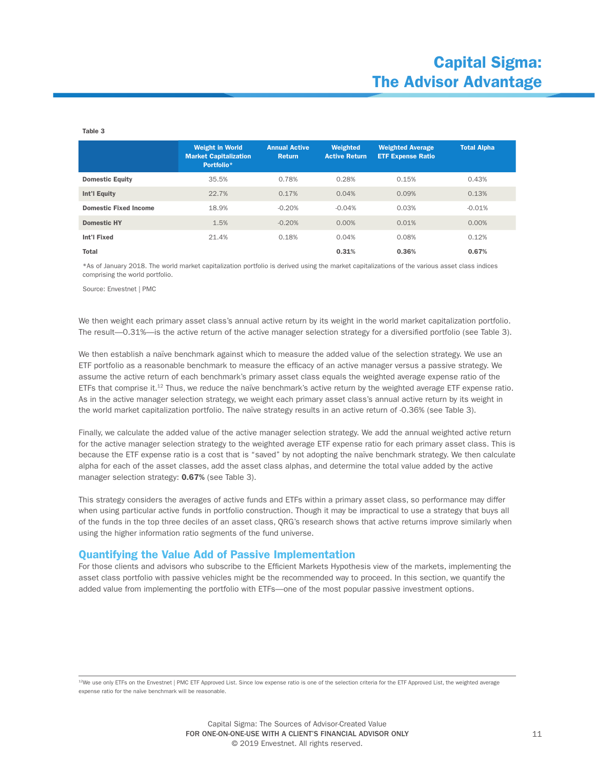#### Table 3

|                              | <b>Weight in World</b><br><b>Market Capitalization</b><br>Portfolio* | <b>Annual Active</b><br><b>Return</b> | <b>Weighted</b><br><b>Active Return</b> | <b>Weighted Average</b><br><b>ETF Expense Ratio</b> | <b>Total Alpha</b> |
|------------------------------|----------------------------------------------------------------------|---------------------------------------|-----------------------------------------|-----------------------------------------------------|--------------------|
| <b>Domestic Equity</b>       | 35.5%                                                                | 0.78%                                 | 0.28%                                   | 0.15%                                               | 0.43%              |
| Int'l Equity                 | 22.7%                                                                | 0.17%                                 | 0.04%                                   | 0.09%                                               | 0.13%              |
| <b>Domestic Fixed Income</b> | 18.9%                                                                | $-0.20%$                              | $-0.04%$                                | 0.03%                                               | $-0.01%$           |
| <b>Domestic HY</b>           | 1.5%                                                                 | $-0.20%$                              | 0.00%                                   | 0.01%                                               | $0.00\%$           |
| <b>Int'l Fixed</b>           | 21.4%                                                                | 0.18%                                 | 0.04%                                   | 0.08%                                               | 0.12%              |
| <b>Total</b>                 |                                                                      |                                       | 0.31%                                   | 0.36%                                               | 0.67%              |

\*As of January 2018. The world market capitalization portfolio is derived using the market capitalizations of the various asset class indices comprising the world portfolio.

Source: Envestnet | PMC

We then weight each primary asset class's annual active return by its weight in the world market capitalization portfolio. The result—0.31%—is the active return of the active manager selection strategy for a diversified portfolio (see Table 3).

We then establish a naïve benchmark against which to measure the added value of the selection strategy. We use an ETF portfolio as a reasonable benchmark to measure the efficacy of an active manager versus a passive strategy. We assume the active return of each benchmark's primary asset class equals the weighted average expense ratio of the ETFs that comprise it.<sup>12</sup> Thus, we reduce the naïve benchmark's active return by the weighted average ETF expense ratio. As in the active manager selection strategy, we weight each primary asset class's annual active return by its weight in the world market capitalization portfolio. The naïve strategy results in an active return of -0.36% (see Table 3).

Finally, we calculate the added value of the active manager selection strategy. We add the annual weighted active return for the active manager selection strategy to the weighted average ETF expense ratio for each primary asset class. This is because the ETF expense ratio is a cost that is "saved" by not adopting the naïve benchmark strategy. We then calculate alpha for each of the asset classes, add the asset class alphas, and determine the total value added by the active manager selection strategy: 0.67% (see Table 3).

This strategy considers the averages of active funds and ETFs within a primary asset class, so performance may differ when using particular active funds in portfolio construction. Though it may be impractical to use a strategy that buys all of the funds in the top three deciles of an asset class, QRG's research shows that active returns improve similarly when using the higher information ratio segments of the fund universe.

#### Quantifying the Value Add of Passive Implementation

For those clients and advisors who subscribe to the Efficient Markets Hypothesis view of the markets, implementing the asset class portfolio with passive vehicles might be the recommended way to proceed. In this section, we quantify the added value from implementing the portfolio with ETFs—one of the most popular passive investment options.

<sup>12</sup>We use only ETFs on the Envestnet | PMC ETF Approved List. Since low expense ratio is one of the selection criteria for the ETF Approved List, the weighted average expense ratio for the naïve benchmark will be reasonable.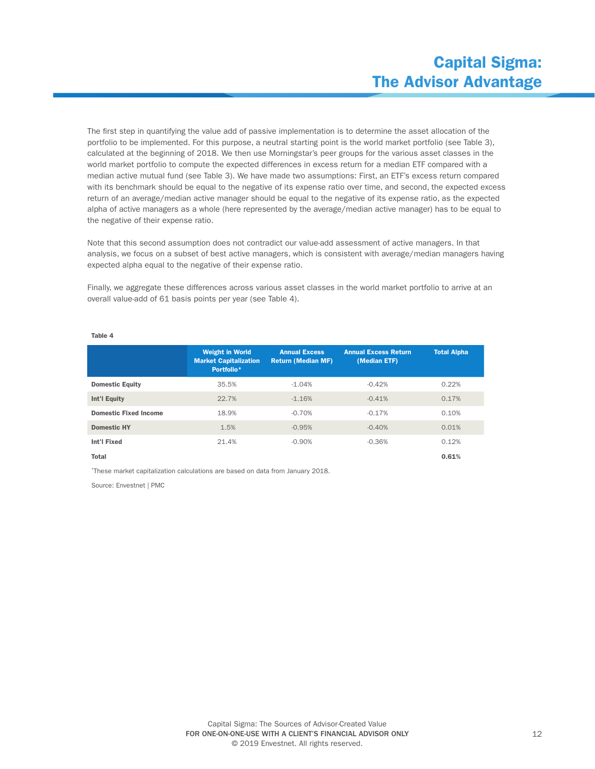The first step in quantifying the value add of passive implementation is to determine the asset allocation of the portfolio to be implemented. For this purpose, a neutral starting point is the world market portfolio (see Table 3), calculated at the beginning of 2018. We then use Morningstar's peer groups for the various asset classes in the world market portfolio to compute the expected differences in excess return for a median ETF compared with a median active mutual fund (see Table 3). We have made two assumptions: First, an ETF's excess return compared with its benchmark should be equal to the negative of its expense ratio over time, and second, the expected excess return of an average/median active manager should be equal to the negative of its expense ratio, as the expected alpha of active managers as a whole (here represented by the average/median active manager) has to be equal to the negative of their expense ratio.

Note that this second assumption does not contradict our value-add assessment of active managers. In that analysis, we focus on a subset of best active managers, which is consistent with average/median managers having expected alpha equal to the negative of their expense ratio.

Finally, we aggregate these differences across various asset classes in the world market portfolio to arrive at an overall value-add of 61 basis points per year (see Table 4).

|                              | <b>Weight in World</b><br><b>Market Capitalization</b><br>Portfolio* | <b>Annual Excess</b><br><b>Return (Median MF)</b> | <b>Annual Excess Return</b><br>(Median ETF) | <b>Total Alpha</b> |
|------------------------------|----------------------------------------------------------------------|---------------------------------------------------|---------------------------------------------|--------------------|
| <b>Domestic Equity</b>       | 35.5%                                                                | $-1.04%$                                          | $-0.42%$                                    | 0.22%              |
| Int'l Equity                 | 22.7%                                                                | $-1.16%$                                          | $-0.41%$                                    | 0.17%              |
| <b>Domestic Fixed Income</b> | 18.9%                                                                | $-0.70%$                                          | $-0.17%$                                    | 0.10%              |
| <b>Domestic HY</b>           | 1.5%                                                                 | $-0.95%$                                          | $-0.40%$                                    | 0.01%              |
| Int'l Fixed                  | 21.4%                                                                | $-0.90%$                                          | $-0.36%$                                    | 0.12%              |
| Total                        |                                                                      |                                                   |                                             | 0.61%              |

#### Table 4

\*These market capitalization calculations are based on data from January 2018.

Source: Envestnet | PMC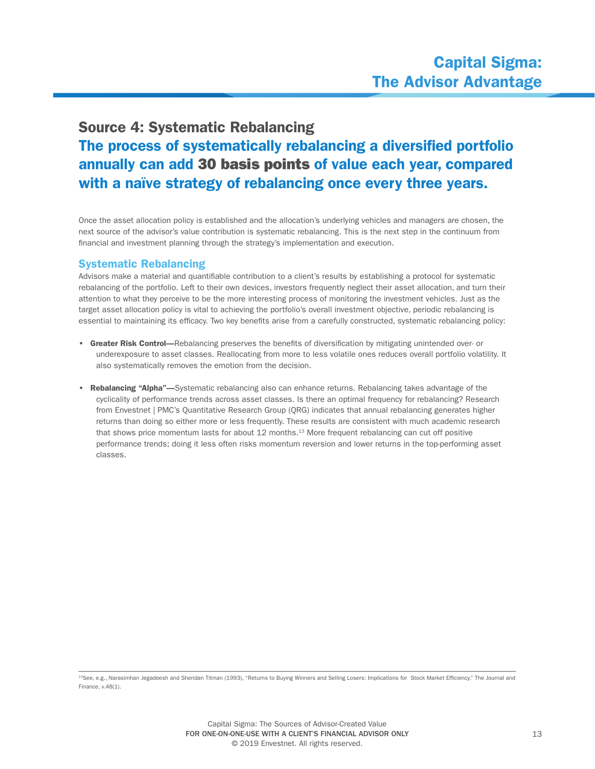# Source 4: Systematic Rebalancing The process of systematically rebalancing a diversified portfolio annually can add 30 basis points of value each year, compared with a naïve strategy of rebalancing once every three years.

Once the asset allocation policy is established and the allocation's underlying vehicles and managers are chosen, the next source of the advisor's value contribution is systematic rebalancing. This is the next step in the continuum from financial and investment planning through the strategy's implementation and execution.

## Systematic Rebalancing

Advisors make a material and quantifiable contribution to a client's results by establishing a protocol for systematic rebalancing of the portfolio. Left to their own devices, investors frequently neglect their asset allocation, and turn their attention to what they perceive to be the more interesting process of monitoring the investment vehicles. Just as the target asset allocation policy is vital to achieving the portfolio's overall investment objective, periodic rebalancing is essential to maintaining its efficacy. Two key benefits arise from a carefully constructed, systematic rebalancing policy:

- Greater Risk Control—Rebalancing preserves the benefits of diversification by mitigating unintended over- or underexposure to asset classes. Reallocating from more to less volatile ones reduces overall portfolio volatility. It also systematically removes the emotion from the decision.
- Rebalancing "Alpha"—Systematic rebalancing also can enhance returns. Rebalancing takes advantage of the cyclicality of performance trends across asset classes. Is there an optimal frequency for rebalancing? Research from Envestnet | PMC's Quantitative Research Group (QRG) indicates that annual rebalancing generates higher returns than doing so either more or less frequently. These results are consistent with much academic research that shows price momentum lasts for about 12 months.<sup>13</sup> More frequent rebalancing can cut off positive performance trends; doing it less often risks momentum reversion and lower returns in the top-performing asset classes.

<sup>13</sup>See, e.g., Narasimhan Jegadeesh and Sheridan Titman (1993), "Returns to Buying Winners and Selling Losers: Implications for Stock Market Efficiency," The Journal and Finance, v.48(1).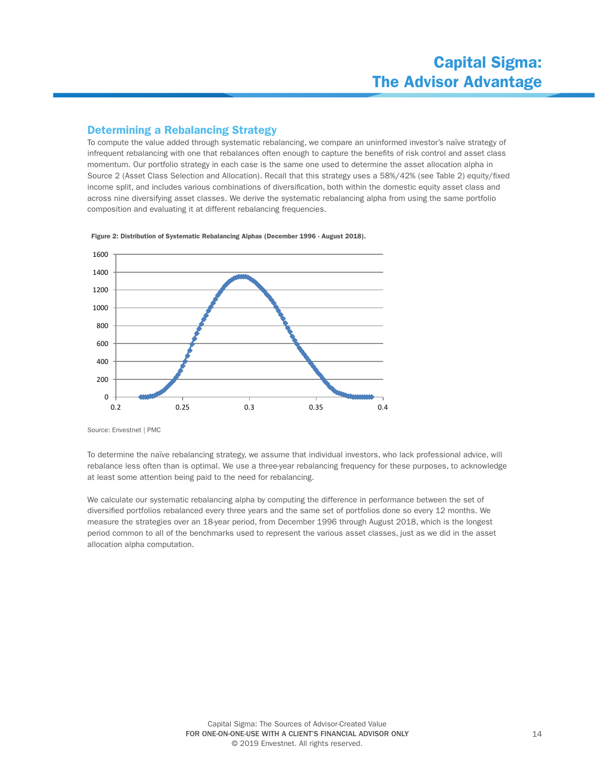## Determining a Rebalancing Strategy

To compute the value added through systematic rebalancing, we compare an uninformed investor's naïve strategy of infrequent rebalancing with one that rebalances often enough to capture the benefits of risk control and asset class momentum. Our portfolio strategy in each case is the same one used to determine the asset allocation alpha in Source 2 (Asset Class Selection and Allocation). Recall that this strategy uses a 58%/42% (see Table 2) equity/fixed income split, and includes various combinations of diversification, both within the domestic equity asset class and across nine diversifying asset classes. We derive the systematic rebalancing alpha from using the same portfolio composition and evaluating it at different rebalancing frequencies.



Figure 2: Distribution of Systematic Rebalancing Alphas (December 1996 - August 2018).

To determine the naïve rebalancing strategy, we assume that individual investors, who lack professional advice, will rebalance less often than is optimal. We use a three-year rebalancing frequency for these purposes, to acknowledge at least some attention being paid to the need for rebalancing.

We calculate our systematic rebalancing alpha by computing the difference in performance between the set of diversified portfolios rebalanced every three years and the same set of portfolios done so every 12 months. We measure the strategies over an 18-year period, from December 1996 through August 2018, which is the longest period common to all of the benchmarks used to represent the various asset classes, just as we did in the asset allocation alpha computation.

Source: Envestnet | PMC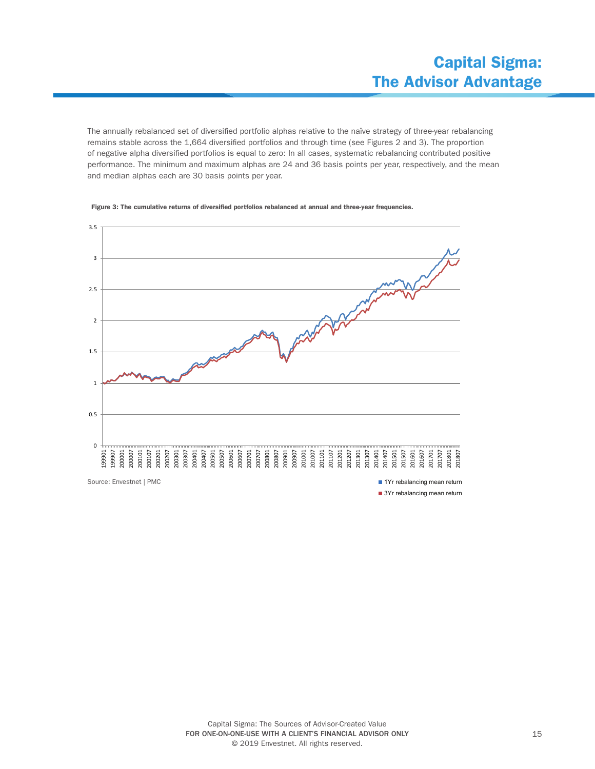The annually rebalanced set of diversified portfolio alphas relative to the naïve strategy of three-year rebalancing remains stable across the 1,664 diversified portfolios and through time (see Figures 2 and 3). The proportion of negative alpha diversified portfolios is equal to zero: In all cases, systematic rebalancing contributed positive performance. The minimum and maximum alphas are 24 and 36 basis points per year, respectively, and the mean and median alphas each are 30 basis points per year.



Figure 3: The cumulative returns of diversified portfolios rebalanced at annual and three-year frequencies.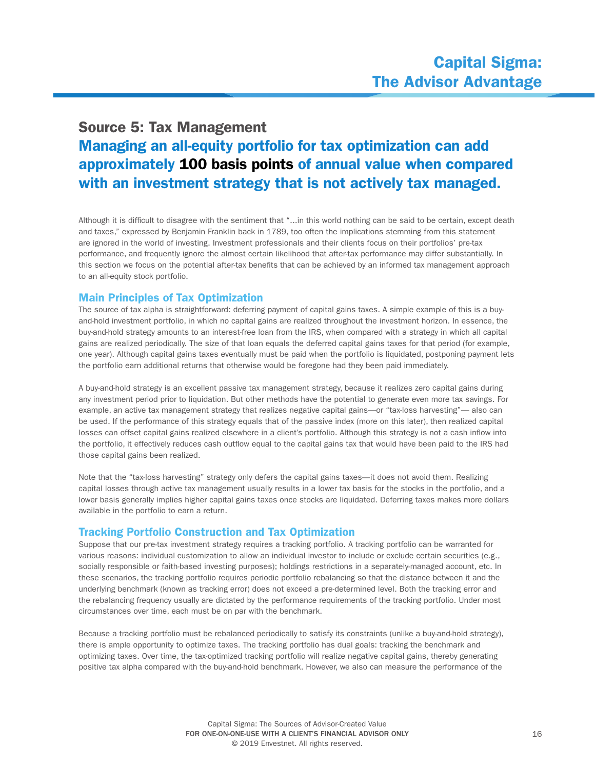# Source 5: Tax Management Managing an all-equity portfolio for tax optimization can add approximately 100 basis points of annual value when compared with an investment strategy that is not actively tax managed.

Although it is difficult to disagree with the sentiment that "...in this world nothing can be said to be certain, except death and taxes," expressed by Benjamin Franklin back in 1789, too often the implications stemming from this statement are ignored in the world of investing. Investment professionals and their clients focus on their portfolios' pre-tax performance, and frequently ignore the almost certain likelihood that after-tax performance may differ substantially. In this section we focus on the potential after-tax benefits that can be achieved by an informed tax management approach to an all-equity stock portfolio.

#### Main Principles of Tax Optimization

The source of tax alpha is straightforward: deferring payment of capital gains taxes. A simple example of this is a buyand-hold investment portfolio, in which no capital gains are realized throughout the investment horizon. In essence, the buy-and-hold strategy amounts to an interest-free loan from the IRS, when compared with a strategy in which all capital gains are realized periodically. The size of that loan equals the deferred capital gains taxes for that period (for example, one year). Although capital gains taxes eventually must be paid when the portfolio is liquidated, postponing payment lets the portfolio earn additional returns that otherwise would be foregone had they been paid immediately.

A buy-and-hold strategy is an excellent passive tax management strategy, because it realizes zero capital gains during any investment period prior to liquidation. But other methods have the potential to generate even more tax savings. For example, an active tax management strategy that realizes negative capital gains—or "tax-loss harvesting"— also can be used. If the performance of this strategy equals that of the passive index (more on this later), then realized capital losses can offset capital gains realized elsewhere in a client's portfolio. Although this strategy is not a cash inflow into the portfolio, it effectively reduces cash outflow equal to the capital gains tax that would have been paid to the IRS had those capital gains been realized.

Note that the "tax-loss harvesting" strategy only defers the capital gains taxes—it does not avoid them. Realizing capital losses through active tax management usually results in a lower tax basis for the stocks in the portfolio, and a lower basis generally implies higher capital gains taxes once stocks are liquidated. Deferring taxes makes more dollars available in the portfolio to earn a return.

#### Tracking Portfolio Construction and Tax Optimization

Suppose that our pre-tax investment strategy requires a tracking portfolio. A tracking portfolio can be warranted for various reasons: individual customization to allow an individual investor to include or exclude certain securities (e.g., socially responsible or faith-based investing purposes); holdings restrictions in a separately-managed account, etc. In these scenarios, the tracking portfolio requires periodic portfolio rebalancing so that the distance between it and the underlying benchmark (known as tracking error) does not exceed a pre-determined level. Both the tracking error and the rebalancing frequency usually are dictated by the performance requirements of the tracking portfolio. Under most circumstances over time, each must be on par with the benchmark.

Because a tracking portfolio must be rebalanced periodically to satisfy its constraints (unlike a buy-and-hold strategy), there is ample opportunity to optimize taxes. The tracking portfolio has dual goals: tracking the benchmark and optimizing taxes. Over time, the tax-optimized tracking portfolio will realize negative capital gains, thereby generating positive tax alpha compared with the buy-and-hold benchmark. However, we also can measure the performance of the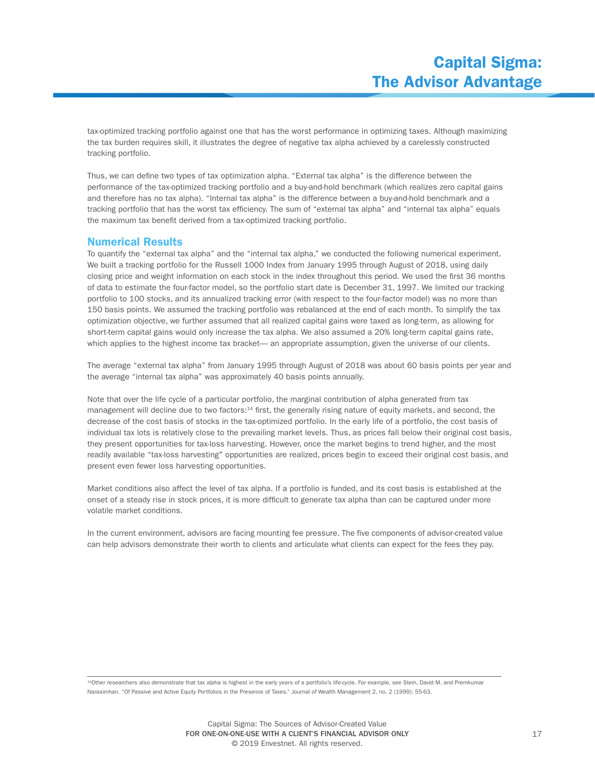tax-optimized tracking portfolio against one that has the worst performance in optimizing taxes. Although maximizing the tax burden requires skill, it illustrates the degree of negative tax alpha achieved by a carelessly constructed tracking portfolio.

Thus, we can define two types of tax optimization alpha. "External tax alpha" is the difference between the performance of the tax-optimized tracking portfolio and a buy-and-hold benchmark (which realizes zero capital gains and therefore has no tax alpha). "Internal tax alpha" is the difference between a buy-and-hold benchmark and a tracking portfolio that has the worst tax efficiency. The sum of "external tax alpha" and "internal tax alpha" equals the maximum tax benefit derived from a tax-optimized tracking portfolio.

#### Numerical Results

To quantify the "external tax alpha" and the "internal tax alpha," we conducted the following numerical experiment. We built a tracking portfolio for the Russell 1000 Index from January 1995 through August of 2018, using daily closing price and weight information on each stock in the index throughout this period. We used the first 36 months of data to estimate the four-factor model, so the portfolio start date is December 31, 1997. We limited our tracking portfolio to 100 stocks, and its annualized tracking error (with respect to the four-factor model) was no more than 150 basis points. We assumed the tracking portfolio was rebalanced at the end of each month. To simplify the tax optimization objective, we further assumed that all realized capital gains were taxed as long-term, as allowing for short-term capital gains would only increase the tax alpha. We also assumed a 20% long-term capital gains rate, which applies to the highest income tax bracket— an appropriate assumption, given the universe of our clients.

The average "external tax alpha" from January 1995 through August of 2018 was about 60 basis points per year and the average "internal tax alpha" was approximately 40 basis points annually.

Note that over the life cycle of a particular portfolio, the marginal contribution of alpha generated from tax management will decline due to two factors:<sup>14</sup> first, the generally rising nature of equity markets, and second, the decrease of the cost basis of stocks in the tax-optimized portfolio. In the early life of a portfolio, the cost basis of individual tax lots is relatively close to the prevailing market levels. Thus, as prices fall below their original cost basis, they present opportunities for tax-loss harvesting. However, once the market begins to trend higher, and the most readily available "tax-loss harvesting" opportunities are realized, prices begin to exceed their original cost basis, and present even fewer loss harvesting opportunities.

Market conditions also affect the level of tax alpha. If a portfolio is funded, and its cost basis is established at the onset of a steady rise in stock prices, it is more difficult to generate tax alpha than can be captured under more volatile market conditions.

In the current environment, advisors are facing mounting fee pressure. The five components of advisor-created value can help advisors demonstrate their worth to clients and articulate what clients can expect for the fees they pay.

14Other researchers also demonstrate that tax alpha is highest in the early years of a portfolio's life-cycle. For example, see Stein, David M. and Premkumar Narasimhan. "Of Passive and Active Equity Portfolios in the Presence of Taxes." Journal of Wealth Management 2, no. 2 (1999): 55-63.